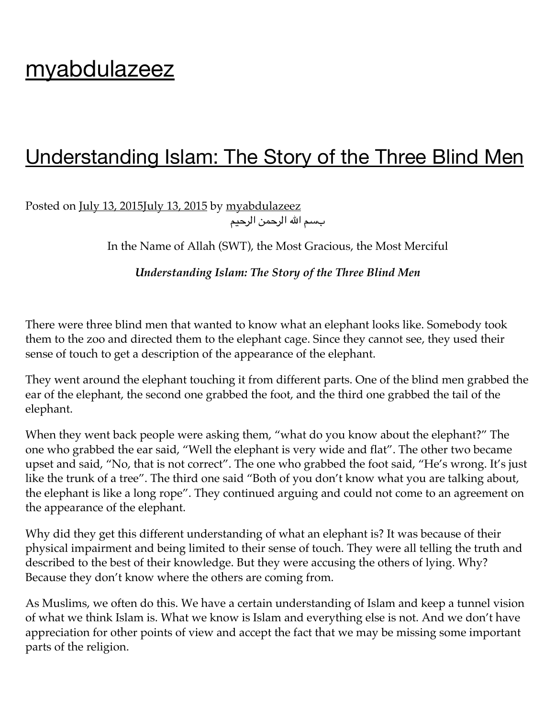# [myabdulazeez](https://myabdulazeez.wordpress.com/)

## [Understanding](https://myabdulazeez.wordpress.com/2015/07/13/5/) Islam: The Story of the Three Blind Men

Posted on <u>July 13, [2015July](https://myabdulazeez.wordpress.com/2015/07/13/5/) 13, 2015</u> by [myabdulazeez](https://myabdulazeez.wordpress.com/author/myabdulazeez/) بسم الله الرحمن الرحيم

In the Name of Allah (SWT), the Most Gracious, the Most Merciful

*Understanding Islam: The Story of the Three Blind Men*

There were three blind men that wanted to know what an elephant looks like. Somebody took them to the zoo and directed them to the elephant cage. Since they cannot see, they used their sense of touch to get a description of the appearance of the elephant.

They went around the elephant touching it from different parts. One of the blind men grabbed the ear of the elephant, the second one grabbed the foot, and the third one grabbed the tail of the elephant.

When they went back people were asking them, "what do you know about the elephant?" The one who grabbed the ear said, "Well the elephant is very wide and flat". The other two became upset and said, "No, that is not correct". The one who grabbed the foot said, "He's wrong. It's just like the trunk of a tree". The third one said "Both of you don't know what you are talking about, the elephant is like a long rope". They continued arguing and could not come to an agreement on the appearance of the elephant.

Why did they get this different understanding of what an elephant is? It was because of their physical impairment and being limited to their sense of touch. They were all telling the truth and described to the best of their knowledge. But they were accusing the others of lying. Why? Because they don't know where the others are coming from.

As Muslims, we often do this. We have a certain understanding of Islam and keep a tunnel vision of what we think Islam is. What we know is Islam and everything else is not. And we don't have appreciation for other points of view and accept the fact that we may be missing some important parts of the religion.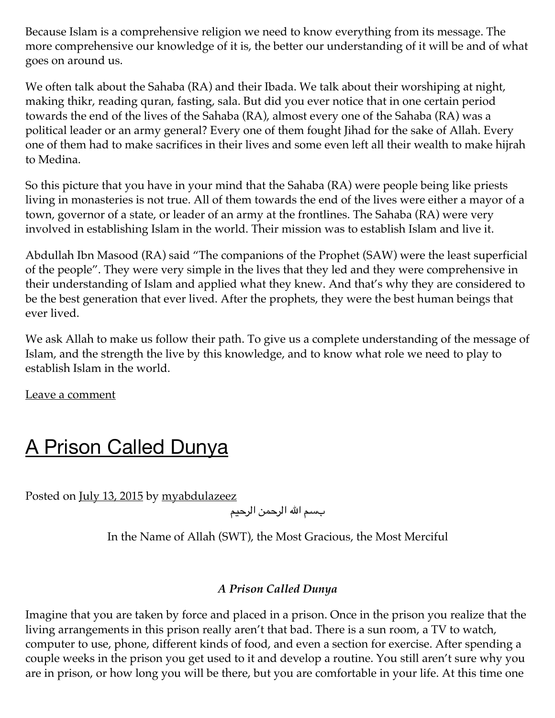Because Islam is a comprehensive religion we need to know everything from its message. The more comprehensive our knowledge of it is, the better our understanding of it will be and of what goes on around us.

We often talk about the Sahaba (RA) and their Ibada. We talk about their worshiping at night, making thikr, reading quran, fasting, sala. But did you ever notice that in one certain period towards the end of the lives of the Sahaba (RA), almost every one of the Sahaba (RA) was a political leader or an army general? Every one of them fought Jihad for the sake of Allah. Every one of them had to make sacrifices in their lives and some even left all their wealth to make hijrah to Medina.

So this picture that you have in your mind that the Sahaba (RA) were people being like priests living in monasteries is not true. All of them towards the end of the lives were either a mayor of a town, governor of a state, or leader of an army at the frontlines. The Sahaba (RA) were very involved in establishing Islam in the world. Their mission was to establish Islam and live it.

Abdullah Ibn Masood (RA) said "The companions of the Prophet (SAW) were the least superficial of the people". They were very simple in the lives that they led and they were comprehensive in their understanding of Islam and applied what they knew. And that's why they are considered to be the best generation that ever lived. After the prophets, they were the best human beings that ever lived.

We ask Allah to make us follow their path. To give us a complete understanding of the message of Islam, and the strength the live by this knowledge, and to know what role we need to play to establish Islam in the world.

Leave a [comment](https://myabdulazeez.wordpress.com/2015/07/13/5/#respond)

# A Prison Called [Dunya](https://myabdulazeez.wordpress.com/2015/07/13/a-prison-called-dunya/)

Posted on <u>July 13, [2015](https://myabdulazeez.wordpress.com/2015/07/13/a-prison-called-dunya/)</u> by [myabdulazeez](https://myabdulazeez.wordpress.com/author/myabdulazeez/)

بسم الله الرحمن الرحيم

In the Name of Allah (SWT), the Most Gracious, the Most Merciful

#### *A Prison Called Dunya*

Imagine that you are taken by force and placed in a prison. Once in the prison you realize that the living arrangements in this prison really aren't that bad. There is a sun room, a TV to watch, computer to use, phone, different kinds of food, and even a section for exercise. After spending a couple weeks in the prison you get used to it and develop a routine. You still aren't sure why you are in prison, or how long you will be there, but you are comfortable in your life. At this time one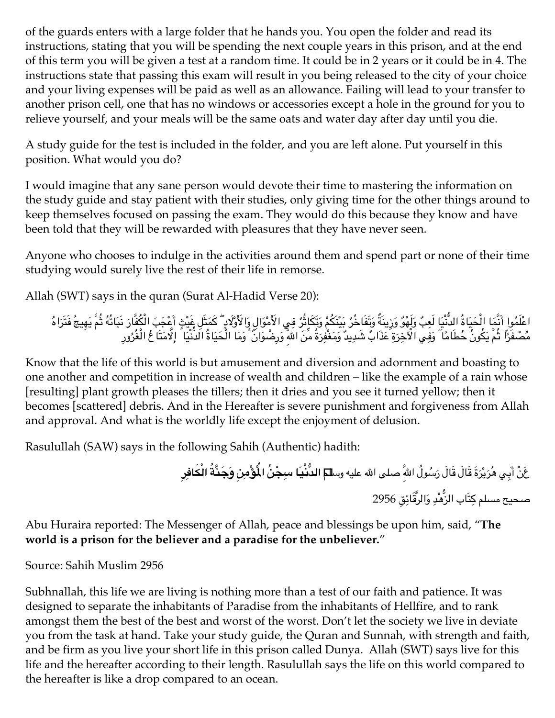of the guards enters with a large folder that he hands you. You open the folder and read its instructions, stating that you will be spending the next couple years in this prison, and at the end of this term you will be given a test at a random time. It could be in 2 years or it could be in 4. The instructions state that passing this exam will result in you being released to the city of your choice and your living expenses will be paid as well as an allowance. Failing will lead to your transfer to another prison cell, one that has no windows or accessories except a hole in the ground for you to relieve yourself, and your meals will be the same oats and water day after day until you die.

A study guide for the test is included in the folder, and you are left alone. Put yourself in this position. What would you do?

I would imagine that any sane person would devote their time to mastering the information on the study guide and stay patient with their studies, only giving time for the other things around to keep themselves focused on passing the exam. They would do this because they know and have been told that they will be rewarded with pleasures that they have never seen.

Anyone who chooses to indulge in the activities around them and spend part or none of their time studying would surely live the rest of their life in remorse.

Allah (SWT) says in the quran (Surat Al-Hadid Verse 20):

اعْلَمُوا أَنَّمَا الْحَيَاةُ الدَّنْيَا لَعِبُ وَلَهْوُ وَزِينَةٌ وَتَفَاخُرُ بِيُنْكُمْ وَتَكَاثِّرُ فِي الأَمْوَالِ وَالأَوْلَادِ ۖ كَمَثَلِ غَيْثِ أَعْجَبَ الْكُفَّارَ نَبَاتُهُ ثُمَّ يَهِيجُ فَتَرَاهُ مُصْفَرًا ثُمَّ يَكُونُ حُطَامًا ۖ وَفِي الْآخِرَةِ عَذَابٌ شَدِيدٌ وَمَغْفِرَةٌ مِّنَ اللهِّ وَرِضْوَانٌ ۚ وَمَا الْحَيَاةُ الَدَّنْيَا ۗ إِلَّامَتَا عُ الْغُرُورِ

Know that the life of this world is but amusement and diversion and adornment and boasting to one another and competition in increase of wealth and children – like the example of a rain whose [resulting] plant growth pleases the tillers; then it dries and you see it turned yellow; then it becomes [scattered] debris. And in the Hereafter is severe punishment and forgiveness from Allah and approval. And what is the worldly life except the enjoyment of delusion.

Rasulullah (SAW) says in the following Sahih (Authentic) hadith:

عَنْ أَبِي هُرَيْرَةَ قَالَ قَالَ رَسُولُ اللهِّ صلى الله عليه وس**للم الدَّنْيَا سبِجْنُ الْمُؤْمِنِ وَجَنَّةَ الْكَافِرِ** صحيح مسلم كِتَاب الزَّهْدِ وَالرُّقَائِقِ 2956

Abu Huraira reported: The Messenger of Allah, peace and blessings be upon him, said, "**The world is a prison for the believer and a paradise for the unbeliever.**"

Source: Sahih Muslim 2956

Subhnallah, this life we are living is nothing more than a test of our faith and patience. It was designed to separate the inhabitants of Paradise from the inhabitants of Hellfire, and to rank amongst them the best of the best and worst of the worst. Don't let the society we live in deviate you from the task at hand. Take your study guide, the Quran and Sunnah, with strength and faith, and be firm as you live your short life in this prison called Dunya. Allah (SWT) says live for this life and the hereafter according to their length. Rasulullah says the life on this world compared to the hereafter is like a drop compared to an ocean.